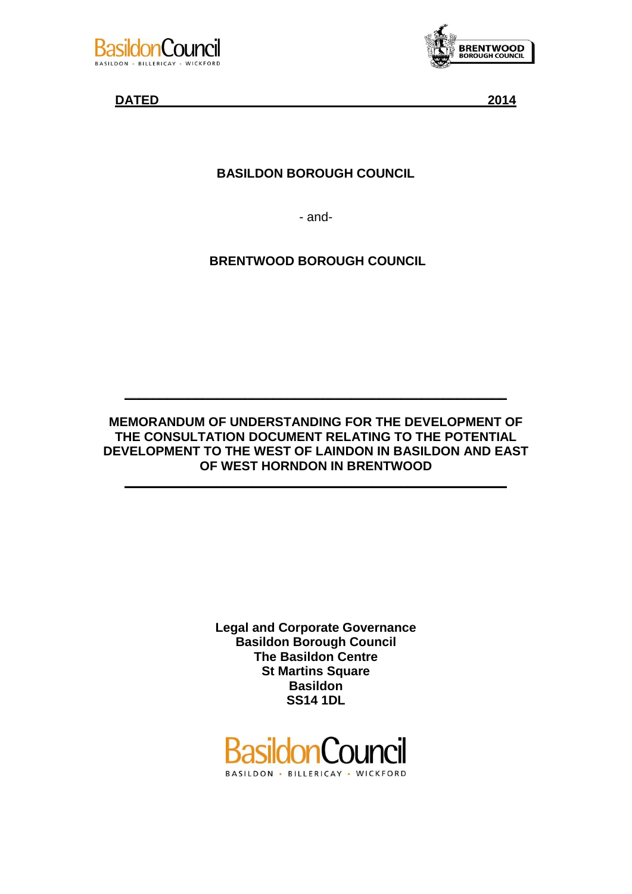



**DATED 2014**

# **BASILDON BOROUGH COUNCIL**

- and-

**BRENTWOOD BOROUGH COUNCIL** 

# **MEMORANDUM OF UNDERSTANDING FOR THE DEVELOPMENT OF THE CONSULTATION DOCUMENT RELATING TO THE POTENTIAL DEVELOPMENT TO THE WEST OF LAINDON IN BASILDON AND EAST OF WEST HORNDON IN BRENTWOOD**

**\_\_\_\_\_\_\_\_\_\_\_\_\_\_\_\_\_\_\_\_\_\_\_\_\_\_\_\_\_\_\_\_\_\_\_\_\_\_\_\_\_\_\_\_\_\_\_\_\_\_\_\_\_\_**

**\_\_\_\_\_\_\_\_\_\_\_\_\_\_\_\_\_\_\_\_\_\_\_\_\_\_\_\_\_\_\_\_\_\_\_\_\_\_\_\_\_\_\_\_\_\_\_\_\_\_\_\_\_\_**

**Legal and Corporate Governance Basildon Borough Council The Basildon Centre St Martins Square Basildon SS14 1DL**

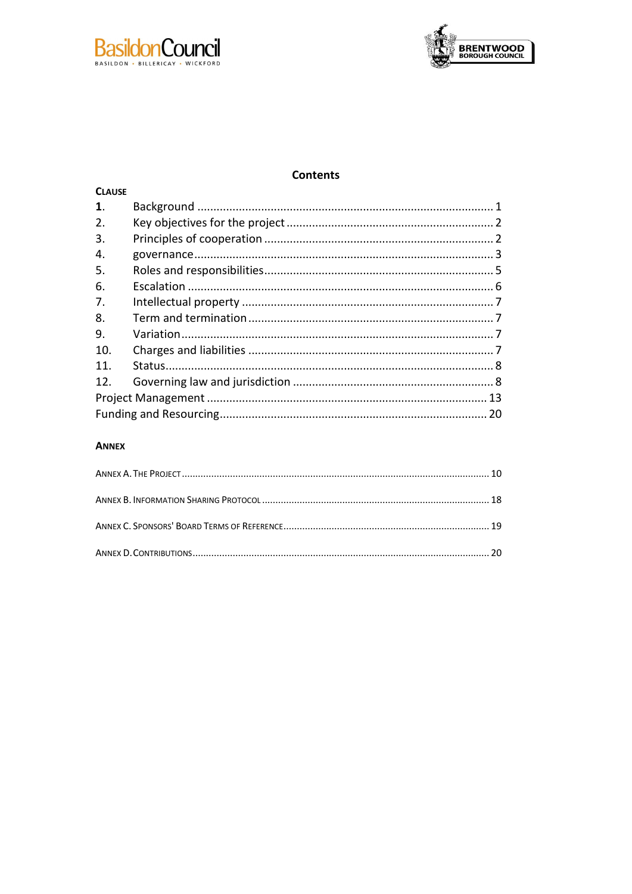



# **Contents**

| <b>CLAUSE</b>  |  |
|----------------|--|
| $\mathbf{1}$ . |  |
| 2.             |  |
| 3.             |  |
| 4.             |  |
| 5.             |  |
| 6.             |  |
| 7.             |  |
| 8.             |  |
| 9.             |  |
| 10.            |  |
| 11.            |  |
| 12.            |  |
|                |  |
|                |  |

#### **ANNEX**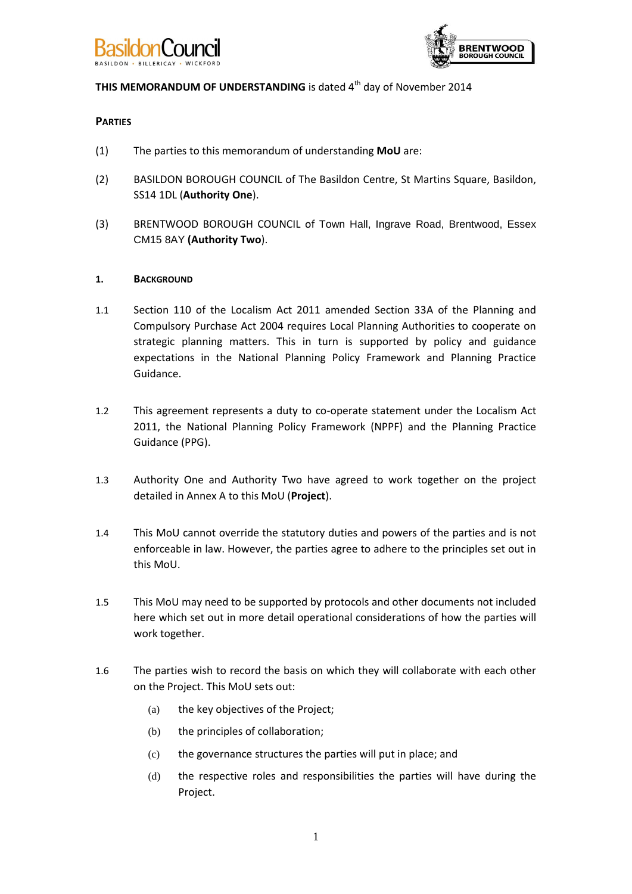



# **THIS MEMORANDUM OF UNDERSTANDING** is dated 4<sup>th</sup> day of November 2014

# **PARTIES**

- (1) The parties to this memorandum of understanding **MoU** are:
- (2) BASILDON BOROUGH COUNCIL of The Basildon Centre, St Martins Square, Basildon, SS14 1DL (**Authority One**).
- (3) BRENTWOOD BOROUGH COUNCIL of Town Hall, Ingrave Road, Brentwood, Essex CM15 8AY **(Authority Two**).

#### **1. BACKGROUND**

- 1.1 Section 110 of the Localism Act 2011 amended Section 33A of the Planning and Compulsory Purchase Act 2004 requires Local Planning Authorities to cooperate on strategic planning matters. This in turn is supported by policy and guidance expectations in the National Planning Policy Framework and Planning Practice Guidance.
- 1.2 This agreement represents a duty to co-operate statement under the Localism Act 2011, the National Planning Policy Framework (NPPF) and the Planning Practice Guidance (PPG).
- 1.3 Authority One and Authority Two have agreed to work together on the project detailed in [Annex A](#page-11-0) to this MoU (**Project**).
- 1.4 This MoU cannot override the statutory duties and powers of the parties and is not enforceable in law. However, the parties agree to adhere to the principles set out in this MoU.
- 1.5 This MoU may need to be supported by protocols and other documents not included here which set out in more detail operational considerations of how the parties will work together.
- 1.6 The parties wish to record the basis on which they will collaborate with each other on the Project. This MoU sets out:
	- (a) the key objectives of the Project;
	- (b) the principles of collaboration;
	- (c) the governance structures the parties will put in place; and
	- (d) the respective roles and responsibilities the parties will have during the Project.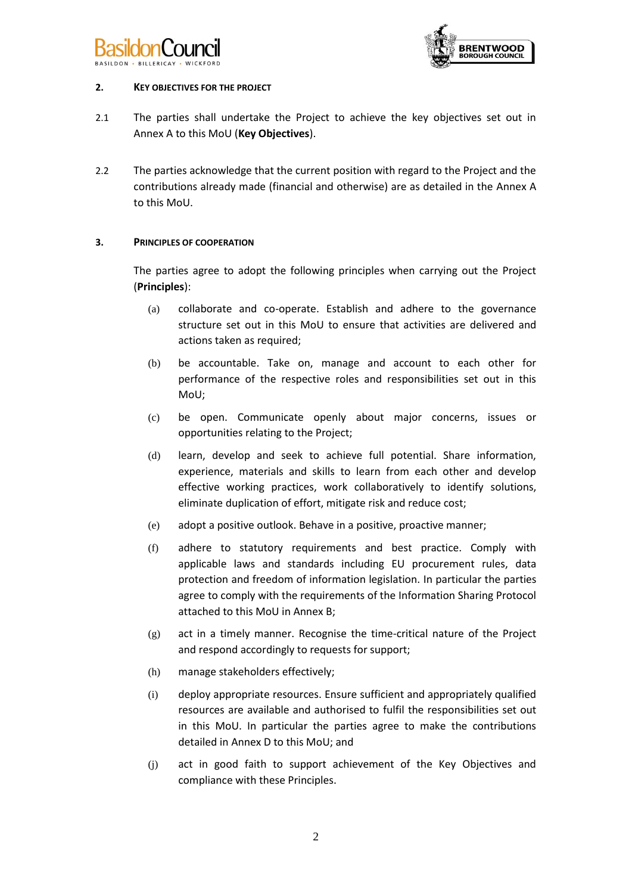



#### **2. KEY OBJECTIVES FOR THE PROJECT**

- 2.1 The parties shall undertake the Project to achieve the key objectives set out in [Annex A](#page-11-0) to this MoU (**Key Objectives**).
- 2.2 The parties acknowledge that the current position with regard to the Project and the contributions already made (financial and otherwise) are as detailed in the [Annex A](#page-11-0) to this MoU.

# **3. PRINCIPLES OF COOPERATION**

The parties agree to adopt the following principles when carrying out the Project (**Principles**):

- (a) collaborate and co-operate. Establish and adhere to the governance structure set out in this MoU to ensure that activities are delivered and actions taken as required;
- (b) be accountable. Take on, manage and account to each other for performance of the respective roles and responsibilities set out in this MoU;
- (c) be open. Communicate openly about major concerns, issues or opportunities relating to the Project;
- (d) learn, develop and seek to achieve full potential. Share information, experience, materials and skills to learn from each other and develop effective working practices, work collaboratively to identify solutions, eliminate duplication of effort, mitigate risk and reduce cost;
- (e) adopt a positive outlook. Behave in a positive, proactive manner;
- (f) adhere to statutory requirements and best practice. Comply with applicable laws and standards including EU procurement rules, data protection and freedom of information legislation. In particular the parties agree to comply with the requirements of the Information Sharing Protocol attached to this MoU in [Annex B;](#page-19-0)
- $(g)$  act in a timely manner. Recognise the time-critical nature of the Project and respond accordingly to requests for support;
- (h) manage stakeholders effectively;
- (i) deploy appropriate resources. Ensure sufficient and appropriately qualified resources are available and authorised to fulfil the responsibilities set out in this MoU. In particular the parties agree to make the contributions detailed i[n Annex D](#page-21-0) to this MoU; and
- (j) act in good faith to support achievement of the Key Objectives and compliance with these Principles.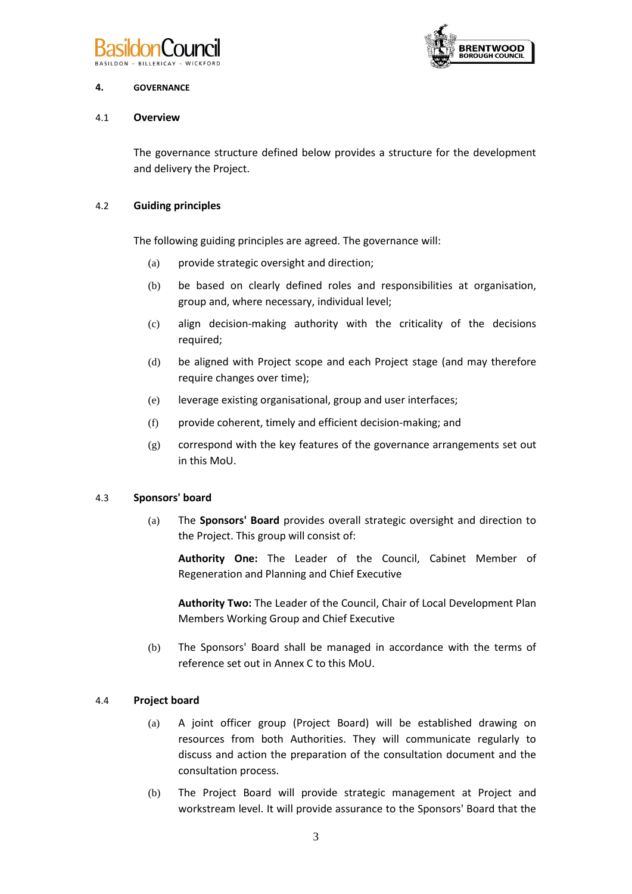



#### **4. GOVERNANCE**

# 4.1 **Overview**

The governance structure defined below provides a structure for the development and delivery the Project.

# 4.2 **Guiding principles**

The following guiding principles are agreed. The governance will:

- (a) provide strategic oversight and direction;
- (b) be based on clearly defined roles and responsibilities at organisation, group and, where necessary, individual level;
- (c) align decision-making authority with the criticality of the decisions required;
- (d) be aligned with Project scope and each Project stage (and may therefore require changes over time);
- (e) leverage existing organisational, group and user interfaces;
- (f) provide coherent, timely and efficient decision-making; and
- (g) correspond with the key features of the governance arrangements set out in this MoU.

#### 4.3 **Sponsors' board**

(a) The **Sponsors' Board** provides overall strategic oversight and direction to the Project. This group will consist of:

**Authority One:** The Leader of the Council, Cabinet Member of Regeneration and Planning and Chief Executive

**Authority Two:** The Leader of the Council, Chair of Local Development Plan Members Working Group and Chief Executive

(b) The Sponsors' Board shall be managed in accordance with the terms of reference set out in Annex C to this MoU.

# 4.4 **Project board**

- (a) A joint officer group (Project Board) will be established drawing on resources from both Authorities. They will communicate regularly to discuss and action the preparation of the consultation document and the consultation process.
- (b) The Project Board will provide strategic management at Project and workstream level. It will provide assurance to the Sponsors' Board that the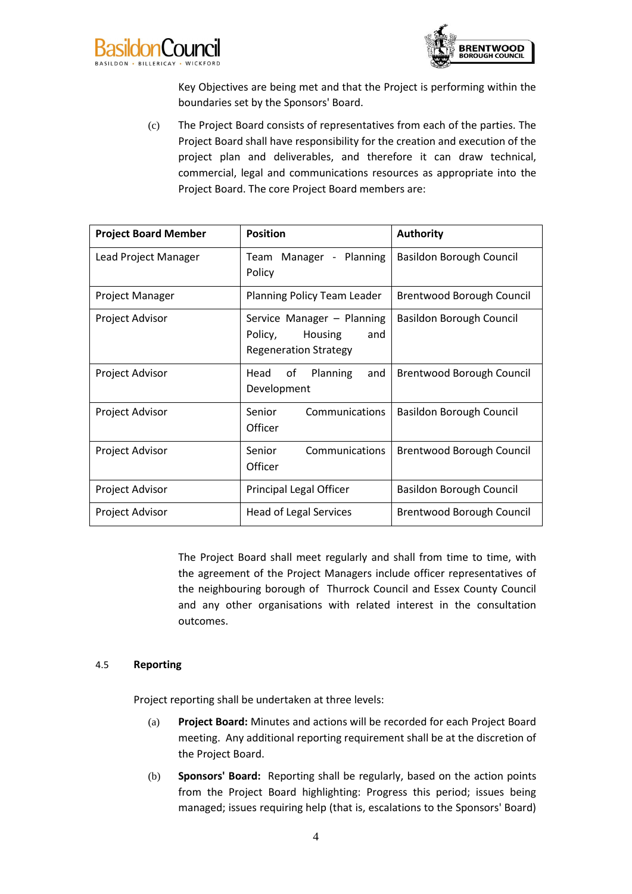



Key Objectives are being met and that the Project is performing within the boundaries set by the Sponsors' Board.

(c) The Project Board consists of representatives from each of the parties. The Project Board shall have responsibility for the creation and execution of the project plan and deliverables, and therefore it can draw technical, commercial, legal and communications resources as appropriate into the Project Board. The core Project Board members are:

| <b>Project Board Member</b> | <b>Position</b>                                                                         | <b>Authority</b>                |
|-----------------------------|-----------------------------------------------------------------------------------------|---------------------------------|
| Lead Project Manager        | Team Manager - Planning<br>Policy                                                       | <b>Basildon Borough Council</b> |
| Project Manager             | Planning Policy Team Leader                                                             | Brentwood Borough Council       |
| Project Advisor             | Service Manager - Planning<br>Policy,<br>Housing<br>and<br><b>Regeneration Strategy</b> | <b>Basildon Borough Council</b> |
| Project Advisor             | of<br>Planning<br>Head<br>and<br>Development                                            | Brentwood Borough Council       |
| Project Advisor             | Communications<br>Senior<br>Officer                                                     | <b>Basildon Borough Council</b> |
| Project Advisor             | Senior<br>Communications<br>Officer                                                     | Brentwood Borough Council       |
| <b>Project Advisor</b>      | <b>Principal Legal Officer</b>                                                          | <b>Basildon Borough Council</b> |
| Project Advisor             | Head of Legal Services                                                                  | Brentwood Borough Council       |

The Project Board shall meet regularly and shall from time to time, with the agreement of the Project Managers include officer representatives of the neighbouring borough of Thurrock Council and Essex County Council and any other organisations with related interest in the consultation outcomes.

#### 4.5 **Reporting**

Project reporting shall be undertaken at three levels:

- (a) **Project Board:** Minutes and actions will be recorded for each Project Board meeting. Any additional reporting requirement shall be at the discretion of the Project Board.
- (b) **Sponsors' Board:** Reporting shall be regularly, based on the action points from the Project Board highlighting: Progress this period; issues being managed; issues requiring help (that is, escalations to the Sponsors' Board)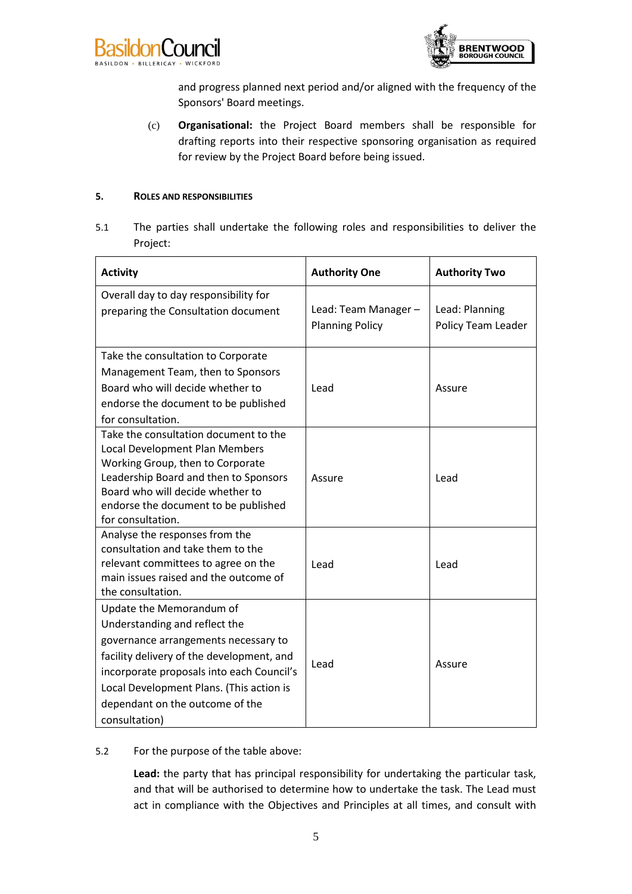



and progress planned next period and/or aligned with the frequency of the Sponsors' Board meetings.

(c) **Organisational:** the Project Board members shall be responsible for drafting reports into their respective sponsoring organisation as required for review by the Project Board before being issued.

#### <span id="page-6-0"></span>**5. ROLES AND RESPONSIBILITIES**

5.1 The parties shall undertake the following roles and responsibilities to deliver the Project:

| <b>Activity</b>                                                                                                                                                                                                                                                                             | <b>Authority One</b>                           | <b>Authority Two</b>                 |
|---------------------------------------------------------------------------------------------------------------------------------------------------------------------------------------------------------------------------------------------------------------------------------------------|------------------------------------------------|--------------------------------------|
| Overall day to day responsibility for<br>preparing the Consultation document                                                                                                                                                                                                                | Lead: Team Manager -<br><b>Planning Policy</b> | Lead: Planning<br>Policy Team Leader |
| Take the consultation to Corporate<br>Management Team, then to Sponsors<br>Board who will decide whether to<br>endorse the document to be published<br>for consultation.                                                                                                                    | Lead                                           | Assure                               |
| Take the consultation document to the<br>Local Development Plan Members<br>Working Group, then to Corporate<br>Leadership Board and then to Sponsors<br>Board who will decide whether to<br>endorse the document to be published<br>for consultation.                                       | Assure                                         | Lead                                 |
| Analyse the responses from the<br>consultation and take them to the<br>relevant committees to agree on the<br>main issues raised and the outcome of<br>the consultation.                                                                                                                    | Lead                                           | Lead                                 |
| Update the Memorandum of<br>Understanding and reflect the<br>governance arrangements necessary to<br>facility delivery of the development, and<br>incorporate proposals into each Council's<br>Local Development Plans. (This action is<br>dependant on the outcome of the<br>consultation) | Lead                                           | Assure                               |

#### 5.2 For the purpose of the table above:

**Lead:** the party that has principal responsibility for undertaking the particular task, and that will be authorised to determine how to undertake the task. The Lead must act in compliance with the Objectives and Principles at all times, and consult with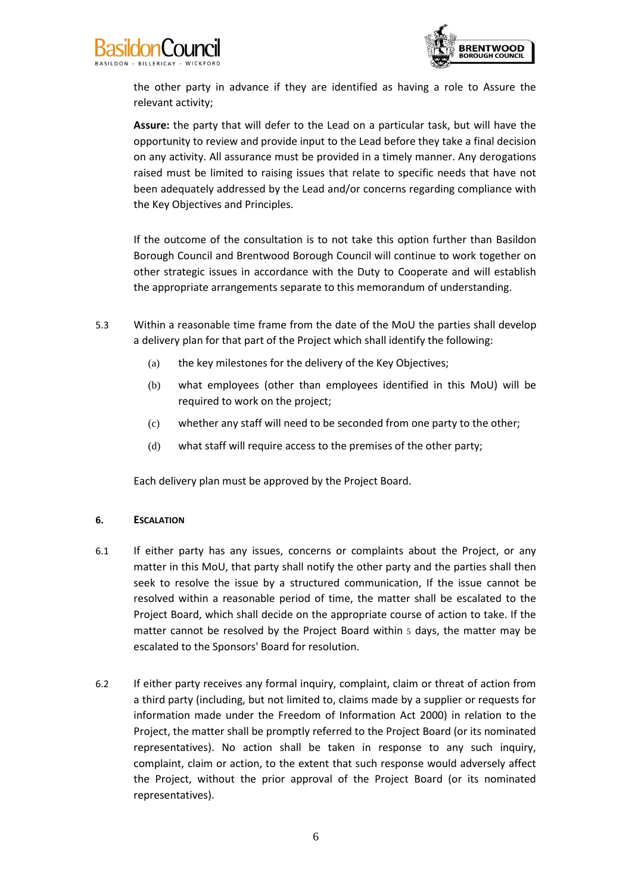



the other party in advance if they are identified as having a role to Assure the relevant activity;

**Assure:** the party that will defer to the Lead on a particular task, but will have the opportunity to review and provide input to the Lead before they take a final decision on any activity. All assurance must be provided in a timely manner. Any derogations raised must be limited to raising issues that relate to specific needs that have not been adequately addressed by the Lead and/or concerns regarding compliance with the Key Objectives and Principles.

If the outcome of the consultation is to not take this option further than Basildon Borough Council and Brentwood Borough Council will continue to work together on other strategic issues in accordance with the Duty to Cooperate and will establish the appropriate arrangements separate to this memorandum of understanding.

- 5.3 Within a reasonable time frame from the date of the MoU the parties shall develop a delivery plan for that part of the Project which shall identify the following:
	- (a) the key milestones for the delivery of the Key Objectives;
	- (b) what employees (other than employees identified in this MoU) will be required to work on the project;
	- (c) whether any staff will need to be seconded from one party to the other;
	- (d) what staff will require access to the premises of the other party;

Each delivery plan must be approved by the Project Board.

#### **6. ESCALATION**

- 6.1 If either party has any issues, concerns or complaints about the Project, or any matter in this MoU, that party shall notify the other party and the parties shall then seek to resolve the issue by a structured communication, If the issue cannot be resolved within a reasonable period of time, the matter shall be escalated to the Project Board, which shall decide on the appropriate course of action to take. If the matter cannot be resolved by the Project Board within 5 days, the matter may be escalated to the Sponsors' Board for resolution.
- 6.2 If either party receives any formal inquiry, complaint, claim or threat of action from a third party (including, but not limited to, claims made by a supplier or requests for information made under the Freedom of Information Act 2000) in relation to the Project, the matter shall be promptly referred to the Project Board (or its nominated representatives). No action shall be taken in response to any such inquiry, complaint, claim or action, to the extent that such response would adversely affect the Project, without the prior approval of the Project Board (or its nominated representatives).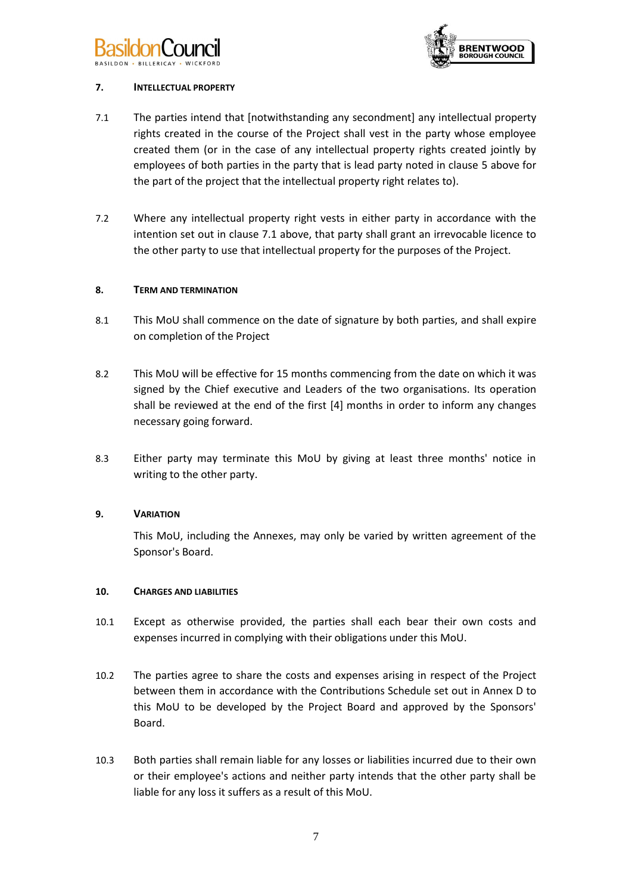



# <span id="page-8-0"></span>**7. INTELLECTUAL PROPERTY**

- 7.1 The parties intend that [notwithstanding any secondment] any intellectual property rights created in the course of the Project shall vest in the party whose employee created them (or in the case of any intellectual property rights created jointly by employees of both parties in the party that is lead party noted in clause [5](#page-6-0) above for the part of the project that the intellectual property right relates to).
- 7.2 Where any intellectual property right vests in either party in accordance with the intention set out in clause [7.1](#page-8-0) above, that party shall grant an irrevocable licence to the other party to use that intellectual property for the purposes of the Project.

# **8. TERM AND TERMINATION**

- 8.1 This MoU shall commence on the date of signature by both parties, and shall expire on completion of the Project
- 8.2 This MoU will be effective for 15 months commencing from the date on which it was signed by the Chief executive and Leaders of the two organisations. Its operation shall be reviewed at the end of the first [4] months in order to inform any changes necessary going forward.
- 8.3 Either party may terminate this MoU by giving at least three months' notice in writing to the other party.

# **9. VARIATION**

This MoU, including the Annexes, may only be varied by written agreement of the Sponsor's Board.

#### **10. CHARGES AND LIABILITIES**

- 10.1 Except as otherwise provided, the parties shall each bear their own costs and expenses incurred in complying with their obligations under this MoU.
- 10.2 The parties agree to share the costs and expenses arising in respect of the Project between them in accordance with the Contributions Schedule set out in [Annex D](#page-21-0) to this MoU to be developed by the Project Board and approved by the Sponsors' Board.
- 10.3 Both parties shall remain liable for any losses or liabilities incurred due to their own or their employee's actions and neither party intends that the other party shall be liable for any loss it suffers as a result of this MoU.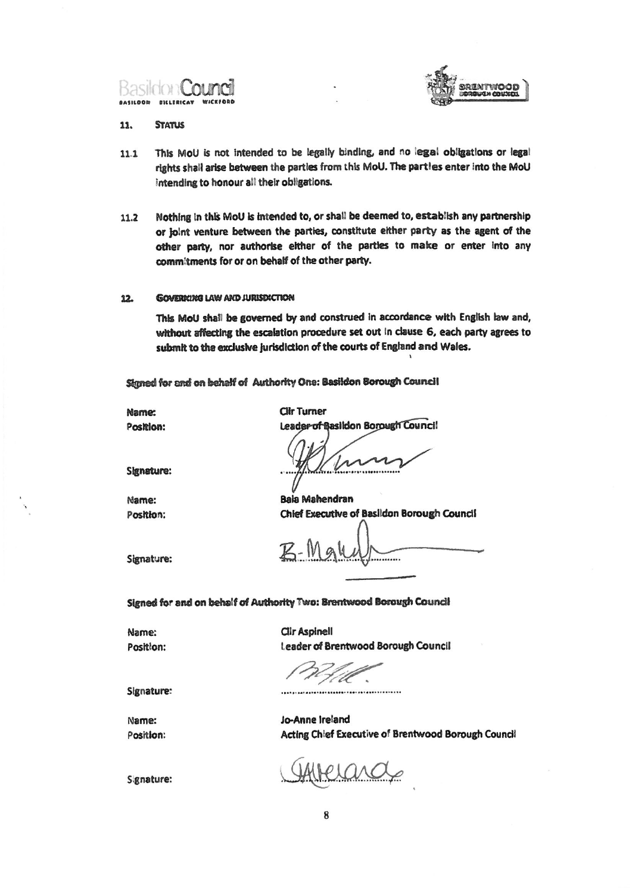



#### **STATUS** 11.

- This MoU is not intended to be legally binding, and no legal obligations or legal  $11.1$ rights shall arise between the parties from this MoU. The partles enter into the MoU intending to honour all their obligations.
- Nothing in this MoU is intended to, or shall be deemed to, establish any partnership  $11.2$ or joint venture between the parties, constitute either party as the agent of the other party, nor authorise either of the parties to make or enter into any commitments for or on behalf of the other party.

#### **GOVERIGNS LAW AND JURISDICTION**  $12.$

This MoU shall be governed by and construed in accordance with English law and, without affecting the escalation procedure set out in clause 6, each party agrees to submit to the exclusive jurisdiction of the courts of England and Wales.

Signed for and on behelf of Authority One: Basildon Borough Council

Name: Position: **Clir Turner** Leader of Basildon Borough Council

**Signature:** 

Name: Position:

**Bala Mahendran** Chief Executive of Basildon Borough Council

Signature:

Signed for and on behalf of Authority Two: Brentwood Borough Council

Name: Position: **Clir Aspinell Leader of Brentwood Borough Council** 

...............................

Signature:

Name: Position: Jo-Anne Ireland Acting Chief Executive of Brentwood Borough Council

Signature: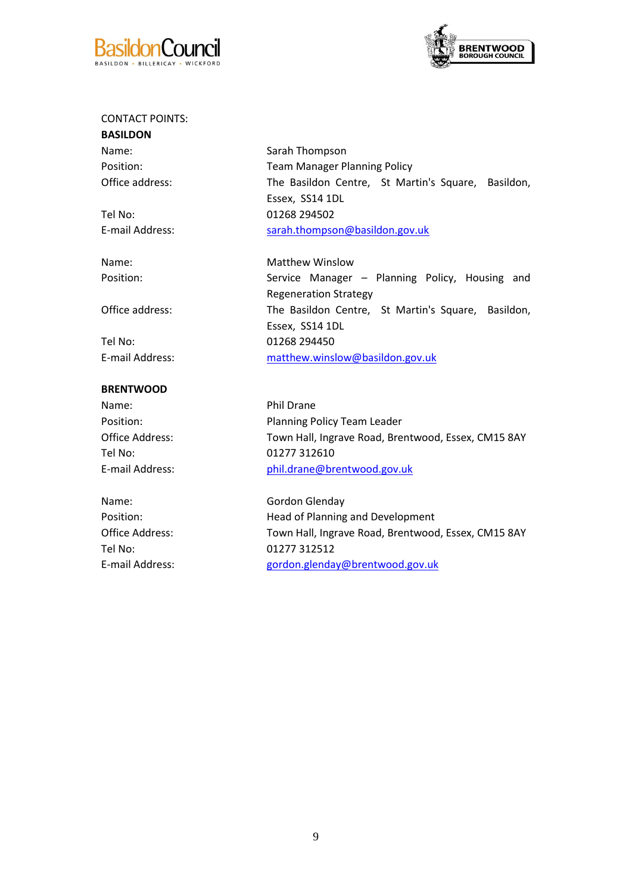



# CONTACT POINTS:

**BASILDON**

Tel No: 01268 294502

Tel No: 01268 294450

# **BRENTWOOD**

Name: Phil Drane Tel No: 01277 312610

Name: Gordon Glenday Tel No: 01277 312512

Name: Sarah Thompson Position: Team Manager Planning Policy Office address: The Basildon Centre, St Martin's Square, Basildon, Essex, SS14 1DL E-mail Address: [sarah.thompson@basildon.gov.uk](mailto:sarah.thompson@basildon.gov.uk)

Name: Matthew Winslow Position: Service Manager - Planning Policy, Housing and Regeneration Strategy Office address: The Basildon Centre, St Martin's Square, Basildon, Essex, SS14 1DL E-mail Address: [matthew.winslow@basildon.gov.uk](mailto:matthew.winslow@basildon.gov.uk)

Position: Position: Planning Policy Team Leader Office Address: Town Hall, Ingrave Road, Brentwood, Essex, CM15 8AY E-mail Address: [phil.drane@brentwood.gov.uk](mailto:phil.drane@brentwood.gov.uk)

Position: **Head of Planning and Development** Office Address: Town Hall, Ingrave Road, Brentwood, Essex, CM15 8AY E-mail Address: [gordon.glenday@brentwood.gov.uk](mailto:gordon.glenday@brentwood.gov.uk)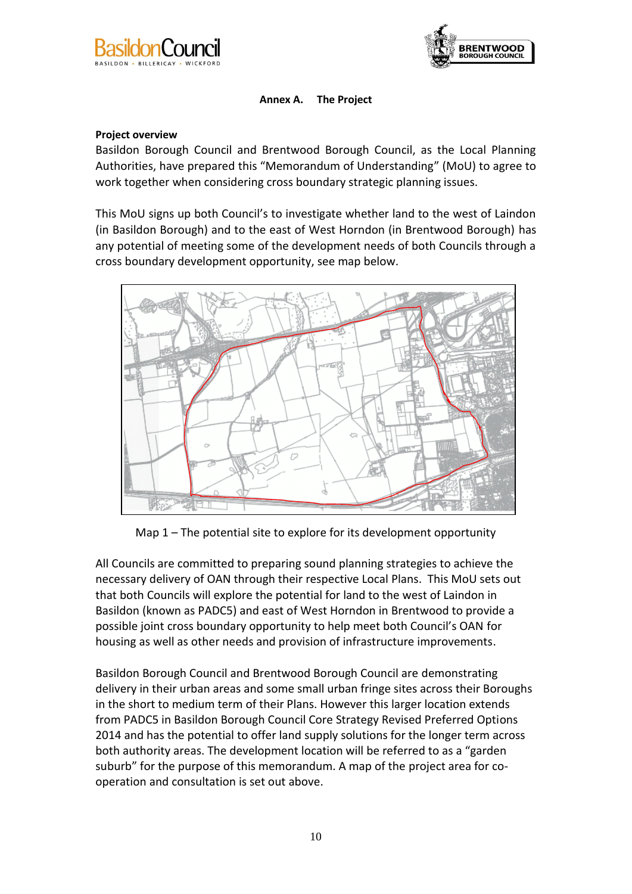<span id="page-11-0"></span>



# **Annex A. The Project**

# **Project overview**

Basildon Borough Council and Brentwood Borough Council, as the Local Planning Authorities, have prepared this "Memorandum of Understanding" (MoU) to agree to work together when considering cross boundary strategic planning issues.

This MoU signs up both Council's to investigate whether land to the west of Laindon (in Basildon Borough) and to the east of West Horndon (in Brentwood Borough) has any potential of meeting some of the development needs of both Councils through a cross boundary development opportunity, see map below.



Map 1 – The potential site to explore for its development opportunity

All Councils are committed to preparing sound planning strategies to achieve the necessary delivery of OAN through their respective Local Plans. This MoU sets out that both Councils will explore the potential for land to the west of Laindon in Basildon (known as PADC5) and east of West Horndon in Brentwood to provide a possible joint cross boundary opportunity to help meet both Council's OAN for housing as well as other needs and provision of infrastructure improvements.

Basildon Borough Council and Brentwood Borough Council are demonstrating delivery in their urban areas and some small urban fringe sites across their Boroughs in the short to medium term of their Plans. However this larger location extends from PADC5 in Basildon Borough Council Core Strategy Revised Preferred Options 2014 and has the potential to offer land supply solutions for the longer term across both authority areas. The development location will be referred to as a "garden suburb" for the purpose of this memorandum. A map of the project area for cooperation and consultation is set out above.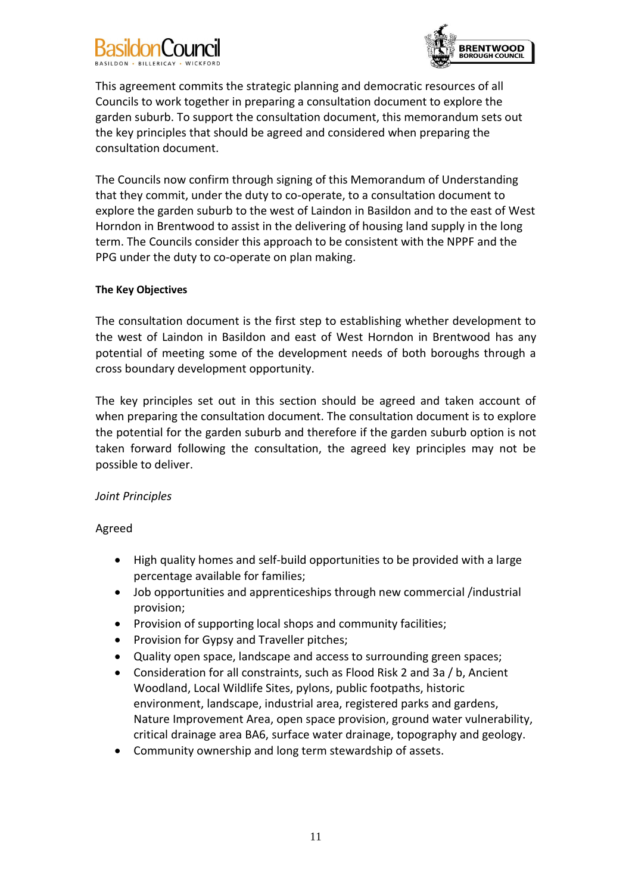# j



This agreement commits the strategic planning and democratic resources of all Councils to work together in preparing a consultation document to explore the garden suburb. To support the consultation document, this memorandum sets out the key principles that should be agreed and considered when preparing the consultation document.

The Councils now confirm through signing of this Memorandum of Understanding that they commit, under the duty to co-operate, to a consultation document to explore the garden suburb to the west of Laindon in Basildon and to the east of West Horndon in Brentwood to assist in the delivering of housing land supply in the long term. The Councils consider this approach to be consistent with the NPPF and the PPG under the duty to co-operate on plan making.

# **The Key Objectives**

The consultation document is the first step to establishing whether development to the west of Laindon in Basildon and east of West Horndon in Brentwood has any potential of meeting some of the development needs of both boroughs through a cross boundary development opportunity.

The key principles set out in this section should be agreed and taken account of when preparing the consultation document. The consultation document is to explore the potential for the garden suburb and therefore if the garden suburb option is not taken forward following the consultation, the agreed key principles may not be possible to deliver.

# *Joint Principles*

# Agreed

- High quality homes and self-build opportunities to be provided with a large percentage available for families;
- Job opportunities and apprenticeships through new commercial /industrial provision;
- Provision of supporting local shops and community facilities;
- Provision for Gypsy and Traveller pitches;
- Quality open space, landscape and access to surrounding green spaces;
- Consideration for all constraints, such as Flood Risk 2 and 3a / b, Ancient Woodland, Local Wildlife Sites, pylons, public footpaths, historic environment, landscape, industrial area, registered parks and gardens, Nature Improvement Area, open space provision, ground water vulnerability, critical drainage area BA6, surface water drainage, topography and geology.
- Community ownership and long term stewardship of assets.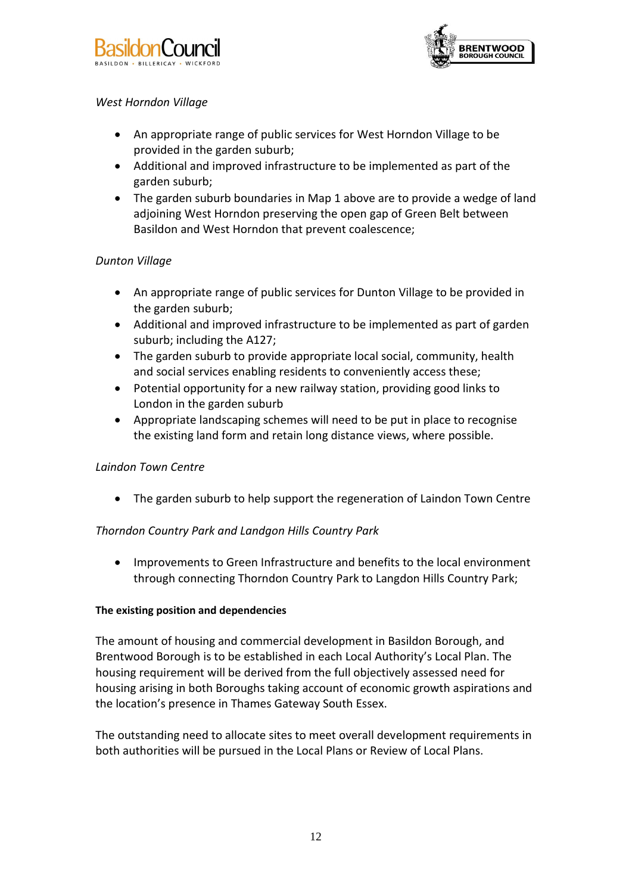



# *West Horndon Village*

- An appropriate range of public services for West Horndon Village to be provided in the garden suburb;
- Additional and improved infrastructure to be implemented as part of the garden suburb;
- The garden suburb boundaries in Map 1 above are to provide a wedge of land adjoining West Horndon preserving the open gap of Green Belt between Basildon and West Horndon that prevent coalescence;

# *Dunton Village*

- An appropriate range of public services for Dunton Village to be provided in the garden suburb;
- Additional and improved infrastructure to be implemented as part of garden suburb; including the A127;
- The garden suburb to provide appropriate local social, community, health and social services enabling residents to conveniently access these;
- Potential opportunity for a new railway station, providing good links to London in the garden suburb
- Appropriate landscaping schemes will need to be put in place to recognise the existing land form and retain long distance views, where possible.

# *Laindon Town Centre*

The garden suburb to help support the regeneration of Laindon Town Centre

# *Thorndon Country Park and Landgon Hills Country Park*

 Improvements to Green Infrastructure and benefits to the local environment through connecting Thorndon Country Park to Langdon Hills Country Park;

# **The existing position and dependencies**

The amount of housing and commercial development in Basildon Borough, and Brentwood Borough is to be established in each Local Authority's Local Plan. The housing requirement will be derived from the full objectively assessed need for housing arising in both Boroughs taking account of economic growth aspirations and the location's presence in Thames Gateway South Essex.

The outstanding need to allocate sites to meet overall development requirements in both authorities will be pursued in the Local Plans or Review of Local Plans.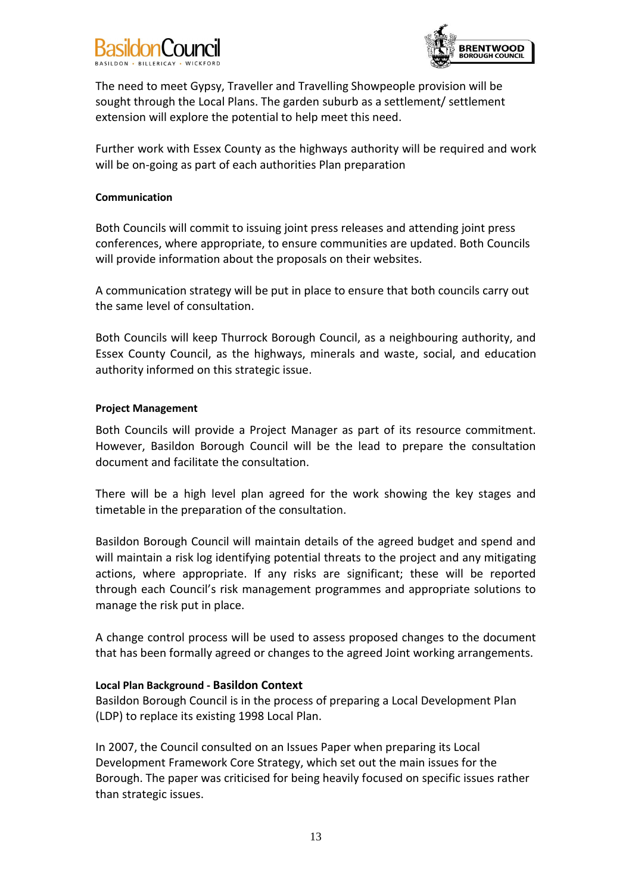



The need to meet Gypsy, Traveller and Travelling Showpeople provision will be sought through the Local Plans. The garden suburb as a settlement/ settlement extension will explore the potential to help meet this need.

Further work with Essex County as the highways authority will be required and work will be on-going as part of each authorities Plan preparation

#### **Communication**

Both Councils will commit to issuing joint press releases and attending joint press conferences, where appropriate, to ensure communities are updated. Both Councils will provide information about the proposals on their websites.

A communication strategy will be put in place to ensure that both councils carry out the same level of consultation.

Both Councils will keep Thurrock Borough Council, as a neighbouring authority, and Essex County Council, as the highways, minerals and waste, social, and education authority informed on this strategic issue.

#### **Project Management**

Both Councils will provide a Project Manager as part of its resource commitment. However, Basildon Borough Council will be the lead to prepare the consultation document and facilitate the consultation.

There will be a high level plan agreed for the work showing the key stages and timetable in the preparation of the consultation.

Basildon Borough Council will maintain details of the agreed budget and spend and will maintain a risk log identifying potential threats to the project and any mitigating actions, where appropriate. If any risks are significant; these will be reported through each Council's risk management programmes and appropriate solutions to manage the risk put in place.

A change control process will be used to assess proposed changes to the document that has been formally agreed or changes to the agreed Joint working arrangements.

#### **Local Plan Background - Basildon Context**

Basildon Borough Council is in the process of preparing a Local Development Plan (LDP) to replace its existing 1998 Local Plan.

In 2007, the Council consulted on an Issues Paper when preparing its Local Development Framework Core Strategy, which set out the main issues for the Borough. The paper was criticised for being heavily focused on specific issues rather than strategic issues.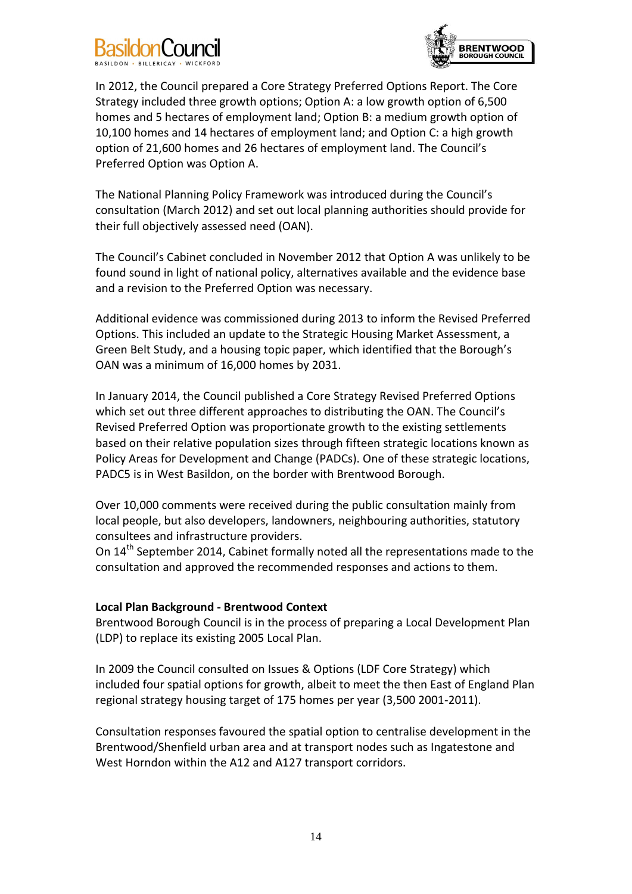# j



In 2012, the Council prepared a Core Strategy Preferred Options Report. The Core Strategy included three growth options; Option A: a low growth option of 6,500 homes and 5 hectares of employment land; Option B: a medium growth option of 10,100 homes and 14 hectares of employment land; and Option C: a high growth option of 21,600 homes and 26 hectares of employment land. The Council's Preferred Option was Option A.

The National Planning Policy Framework was introduced during the Council's consultation (March 2012) and set out local planning authorities should provide for their full objectively assessed need (OAN).

The Council's Cabinet concluded in November 2012 that Option A was unlikely to be found sound in light of national policy, alternatives available and the evidence base and a revision to the Preferred Option was necessary.

Additional evidence was commissioned during 2013 to inform the Revised Preferred Options. This included an update to the Strategic Housing Market Assessment, a Green Belt Study, and a housing topic paper, which identified that the Borough's OAN was a minimum of 16,000 homes by 2031.

In January 2014, the Council published a Core Strategy Revised Preferred Options which set out three different approaches to distributing the OAN. The Council's Revised Preferred Option was proportionate growth to the existing settlements based on their relative population sizes through fifteen strategic locations known as Policy Areas for Development and Change (PADCs). One of these strategic locations, PADC5 is in West Basildon, on the border with Brentwood Borough.

Over 10,000 comments were received during the public consultation mainly from local people, but also developers, landowners, neighbouring authorities, statutory consultees and infrastructure providers.

On 14<sup>th</sup> September 2014, Cabinet formally noted all the representations made to the consultation and approved the recommended responses and actions to them.

# **Local Plan Background - Brentwood Context**

Brentwood Borough Council is in the process of preparing a Local Development Plan (LDP) to replace its existing 2005 Local Plan.

In 2009 the Council consulted on Issues & Options (LDF Core Strategy) which included four spatial options for growth, albeit to meet the then East of England Plan regional strategy housing target of 175 homes per year (3,500 2001-2011).

Consultation responses favoured the spatial option to centralise development in the Brentwood/Shenfield urban area and at transport nodes such as Ingatestone and West Horndon within the A12 and A127 transport corridors.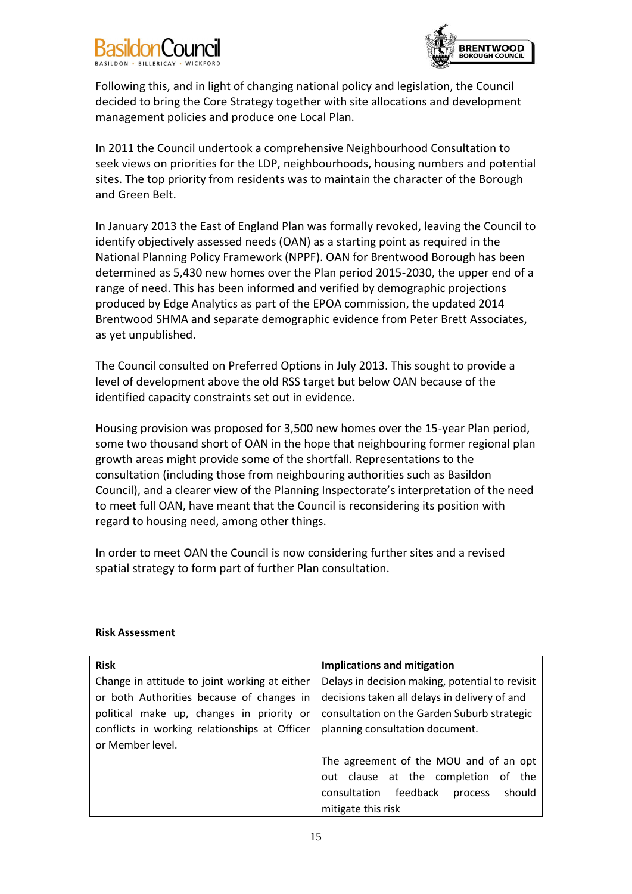



Following this, and in light of changing national policy and legislation, the Council decided to bring the Core Strategy together with site allocations and development management policies and produce one Local Plan.

In 2011 the Council undertook a comprehensive Neighbourhood Consultation to seek views on priorities for the LDP, neighbourhoods, housing numbers and potential sites. The top priority from residents was to maintain the character of the Borough and Green Belt.

In January 2013 the East of England Plan was formally revoked, leaving the Council to identify objectively assessed needs (OAN) as a starting point as required in the National Planning Policy Framework (NPPF). OAN for Brentwood Borough has been determined as 5,430 new homes over the Plan period 2015-2030, the upper end of a range of need. This has been informed and verified by demographic projections produced by Edge Analytics as part of the EPOA commission, the updated 2014 Brentwood SHMA and separate demographic evidence from Peter Brett Associates, as yet unpublished.

The Council consulted on Preferred Options in July 2013. This sought to provide a level of development above the old RSS target but below OAN because of the identified capacity constraints set out in evidence.

Housing provision was proposed for 3,500 new homes over the 15-year Plan period, some two thousand short of OAN in the hope that neighbouring former regional plan growth areas might provide some of the shortfall. Representations to the consultation (including those from neighbouring authorities such as Basildon Council), and a clearer view of the Planning Inspectorate's interpretation of the need to meet full OAN, have meant that the Council is reconsidering its position with regard to housing need, among other things.

In order to meet OAN the Council is now considering further sites and a revised spatial strategy to form part of further Plan consultation.

| <b>Risk</b>                                   | Implications and mitigation                     |
|-----------------------------------------------|-------------------------------------------------|
| Change in attitude to joint working at either | Delays in decision making, potential to revisit |
| or both Authorities because of changes in     | decisions taken all delays in delivery of and   |
| political make up, changes in priority or     | consultation on the Garden Suburb strategic     |
| conflicts in working relationships at Officer | planning consultation document.                 |
| or Member level.                              |                                                 |
|                                               | The agreement of the MOU and of an opt          |
|                                               | out clause at the completion of<br>the          |
|                                               | consultation feedback<br>should<br>process      |
|                                               | mitigate this risk                              |

# **Risk Assessment**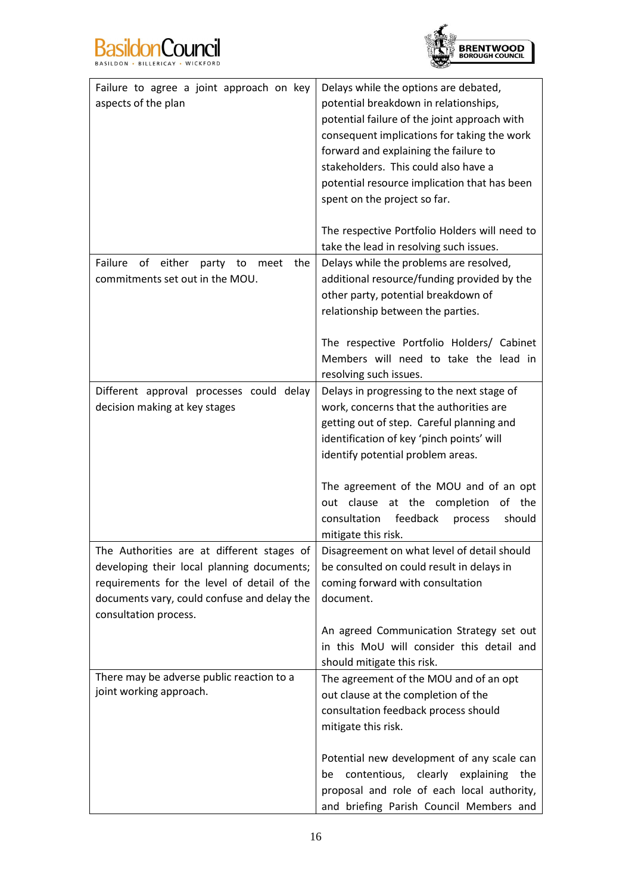



| Failure to agree a joint approach on key              | Delays while the options are debated,         |
|-------------------------------------------------------|-----------------------------------------------|
| aspects of the plan                                   | potential breakdown in relationships,         |
|                                                       | potential failure of the joint approach with  |
|                                                       | consequent implications for taking the work   |
|                                                       | forward and explaining the failure to         |
|                                                       | stakeholders. This could also have a          |
|                                                       | potential resource implication that has been  |
|                                                       | spent on the project so far.                  |
|                                                       |                                               |
|                                                       | The respective Portfolio Holders will need to |
|                                                       | take the lead in resolving such issues.       |
| Failure<br>of<br>either<br>party<br>the<br>to<br>meet | Delays while the problems are resolved,       |
| commitments set out in the MOU.                       | additional resource/funding provided by the   |
|                                                       | other party, potential breakdown of           |
|                                                       | relationship between the parties.             |
|                                                       |                                               |
|                                                       | The respective Portfolio Holders/ Cabinet     |
|                                                       | Members will need to take the lead in         |
|                                                       | resolving such issues.                        |
| Different approval processes could delay              | Delays in progressing to the next stage of    |
| decision making at key stages                         | work, concerns that the authorities are       |
|                                                       | getting out of step. Careful planning and     |
|                                                       | identification of key 'pinch points' will     |
|                                                       | identify potential problem areas.             |
|                                                       |                                               |
|                                                       | The agreement of the MOU and of an opt        |
|                                                       | out clause at the completion<br>of the        |
|                                                       | feedback<br>consultation<br>should<br>process |
|                                                       | mitigate this risk.                           |
| The Authorities are at different stages of            | Disagreement on what level of detail should   |
| developing their local planning documents;            | be consulted on could result in delays in     |
| requirements for the level of detail of the           | coming forward with consultation              |
| documents vary, could confuse and delay the           | document.                                     |
| consultation process.                                 |                                               |
|                                                       | An agreed Communication Strategy set out      |
|                                                       | in this MoU will consider this detail and     |
|                                                       | should mitigate this risk.                    |
| There may be adverse public reaction to a             | The agreement of the MOU and of an opt        |
| joint working approach.                               | out clause at the completion of the           |
|                                                       | consultation feedback process should          |
|                                                       | mitigate this risk.                           |
|                                                       |                                               |
|                                                       | Potential new development of any scale can    |
|                                                       | be contentious, clearly explaining<br>the     |
|                                                       | proposal and role of each local authority,    |
|                                                       | and briefing Parish Council Members and       |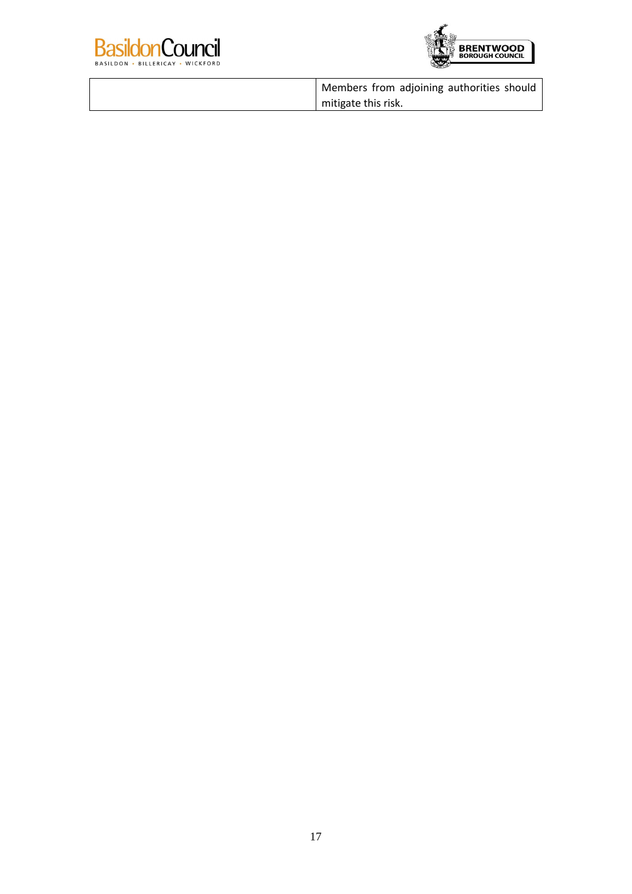



| Members from adjoining authorities should |
|-------------------------------------------|
| I mitigate this risk.                     |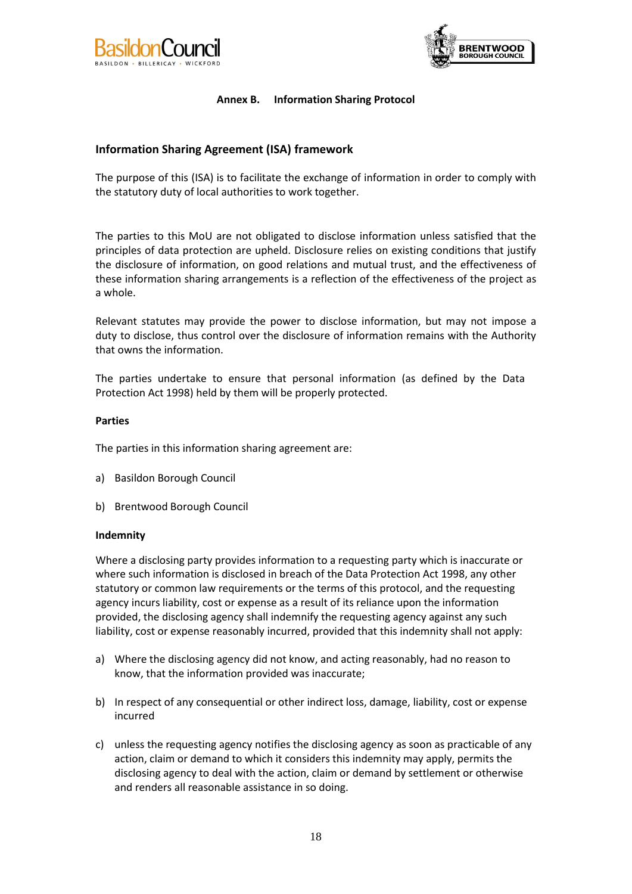<span id="page-19-0"></span>



# **Annex B. Information Sharing Protocol**

# **Information Sharing Agreement (ISA) framework**

The purpose of this (ISA) is to facilitate the exchange of information in order to comply with the statutory duty of local authorities to work together.

The parties to this MoU are not obligated to disclose information unless satisfied that the principles of data protection are upheld. Disclosure relies on existing conditions that justify the disclosure of information, on good relations and mutual trust, and the effectiveness of these information sharing arrangements is a reflection of the effectiveness of the project as a whole.

Relevant statutes may provide the power to disclose information, but may not impose a duty to disclose, thus control over the disclosure of information remains with the Authority that owns the information.

The parties undertake to ensure that personal information (as defined by the Data Protection Act 1998) held by them will be properly protected.

#### **Parties**

The parties in this information sharing agreement are:

- a) Basildon Borough Council
- b) Brentwood Borough Council

#### **Indemnity**

Where a disclosing party provides information to a requesting party which is inaccurate or where such information is disclosed in breach of the Data Protection Act 1998, any other statutory or common law requirements or the terms of this protocol, and the requesting agency incurs liability, cost or expense as a result of its reliance upon the information provided, the disclosing agency shall indemnify the requesting agency against any such liability, cost or expense reasonably incurred, provided that this indemnity shall not apply:

- a) Where the disclosing agency did not know, and acting reasonably, had no reason to know, that the information provided was inaccurate;
- b) In respect of any consequential or other indirect loss, damage, liability, cost or expense incurred
- c) unless the requesting agency notifies the disclosing agency as soon as practicable of any action, claim or demand to which it considers this indemnity may apply, permits the disclosing agency to deal with the action, claim or demand by settlement or otherwise and renders all reasonable assistance in so doing.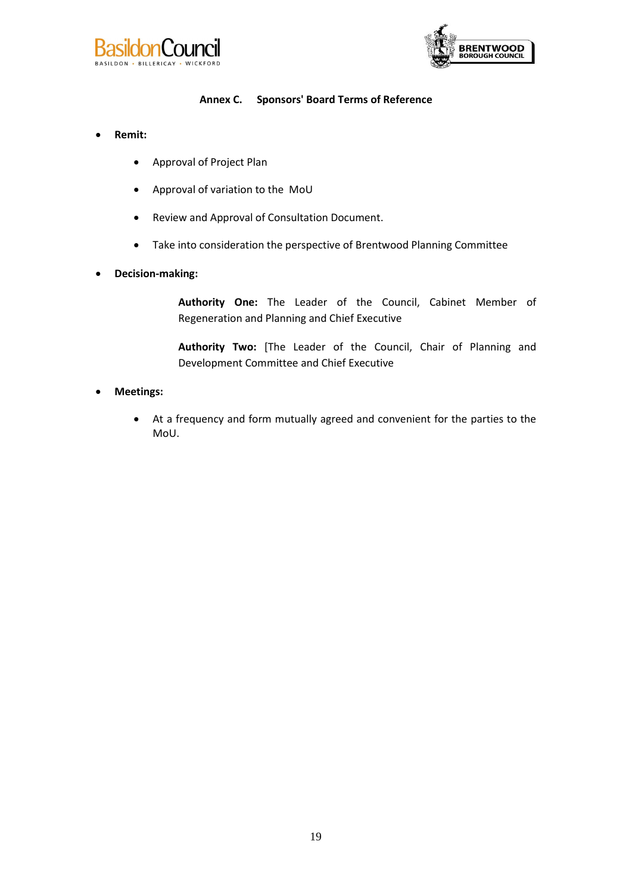



# **Annex C. Sponsors' Board Terms of Reference**

- **Remit:**
	- Approval of Project Plan
	- Approval of variation to the MoU
	- Review and Approval of Consultation Document.
	- Take into consideration the perspective of Brentwood Planning Committee
- **Decision-making:**

**Authority One:** The Leader of the Council, Cabinet Member of Regeneration and Planning and Chief Executive

**Authority Two:** [The Leader of the Council, Chair of Planning and Development Committee and Chief Executive

#### **Meetings:**

 At a frequency and form mutually agreed and convenient for the parties to the MoU.